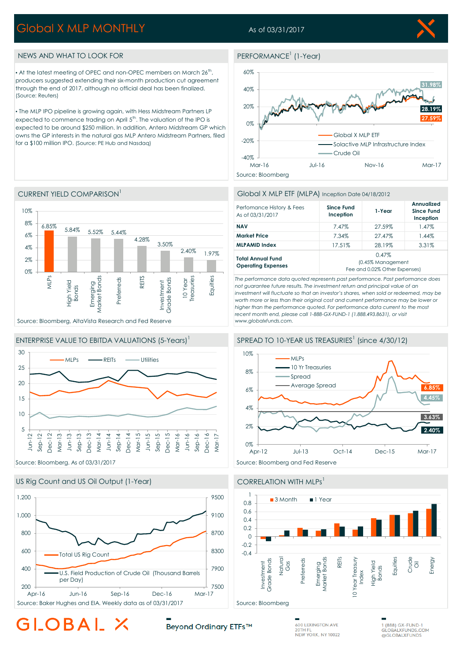# Global X MLP MONTHLY

## As of 03/31/2017

PERFORMANCE<sup>1</sup> (1-Year)

Source: Bloomberg

 $-40%$ 

-20%

0%

20%

40%

60%

**27.59% 28.19%**

**31.98%**

## NEWS AND WHAT TO LOOK FOR

CURRENT YIELD COMPARISON<sup>1</sup>

 $\bullet$  At the latest meeting of OPEC and non-OPEC members on March 26<sup>th</sup>, producers suggested extending their six-month production cut agreement through the end of 2017, although no official deal has been finalized. (Source: Reuters)

. The MLP IPO pipeline is growing again, with Hess Midstream Partners LP expected to commence trading on April  $5<sup>th</sup>$ . The valuation of the IPO is expected to be around \$250 million. In addition, Antero Midstream GP which owns the GP interests in the natural gas MLP Antero Midstream Partners, filed for a \$100 million IPO. (Source: PE Hub and Nasdaq)

#### Source: Bloomberg, AltaVista Research and Fed Reserve  $6.85\%$  5.84% 5.52% 5.44% 4.28% 3.50% 2.40% 1.97% 0% 2% 4% 6% 8% 10% MLPs High Yield Bonds Emerging<br>Market Bonds Market Bonds Preferreds REITS Investment<br>Grade Bonds Grade Bonds 10 Year Treasuries **Equities**





### US Rig Count and US Oil Output (1-Year) CORRELATION WITH MLPs<sup>1</sup>







Mar-16 Jul-16 Nov-16 Mar-17

Crude Oil

Global X MLP ETF

Solactive MLP Infrastructure Index

*not guarantee future results. The investment return and principal value of an investment will fluctuate so that an investor's shares, when sold or redeemed, may be worth more or less than their original cost and current performance may be lower or higher than the performance quoted. For performance data current to the most recent month end, please call 1-888-GX-FUND-1 (1.888.493.8631), or visit www.globalxfunds.com.*









# LOBAL

Beyond Ordinary ETFs™

**600 LEXINGTON AVE**  $20THF$ NEW YORK, NY 10022

1 (888) GX-FUND-1 GLOBALXFUNDS.COM

# ENTERPRISE VALUE TO EBITDA VALUATIONS (5-Years)<sup>1</sup>